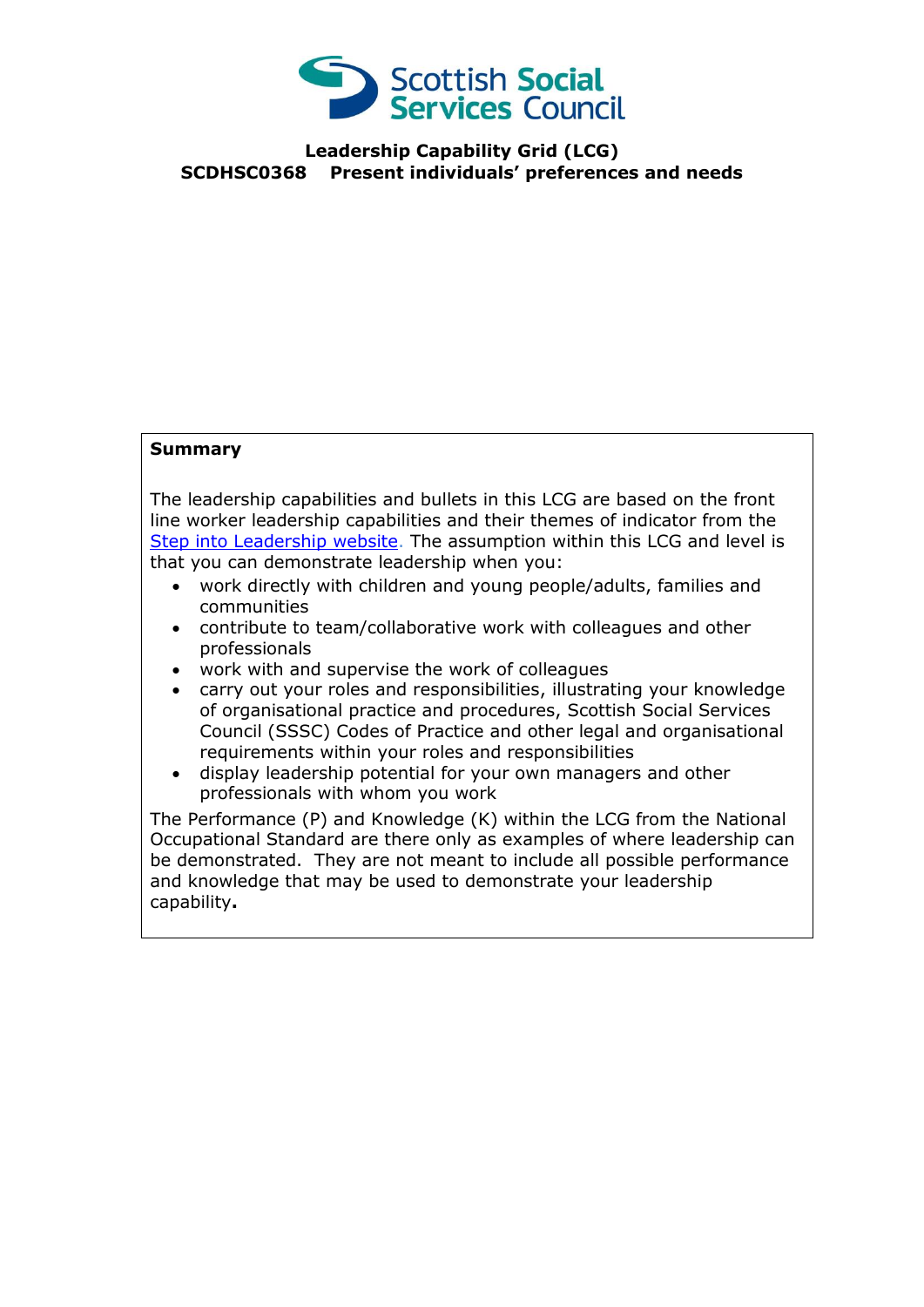

## **Leadership Capability Grid (LCG) SCDHSC0368 Present individuals' preferences and needs**

## **Summary**

The leadership capabilities and bullets in this LCG are based on the front line worker leadership capabilities and their themes of indicator from the [Step into Leadership website.](http://www.stepintoleadership.info/) The assumption within this LCG and level is that you can demonstrate leadership when you:

- work directly with children and young people/adults, families and communities
- contribute to team/collaborative work with colleagues and other professionals
- work with and supervise the work of colleagues
- carry out your roles and responsibilities, illustrating your knowledge of organisational practice and procedures, Scottish Social Services Council (SSSC) Codes of Practice and other legal and organisational requirements within your roles and responsibilities
- display leadership potential for your own managers and other professionals with whom you work

The Performance (P) and Knowledge (K) within the LCG from the National Occupational Standard are there only as examples of where leadership can be demonstrated. They are not meant to include all possible performance and knowledge that may be used to demonstrate your leadership capability**.**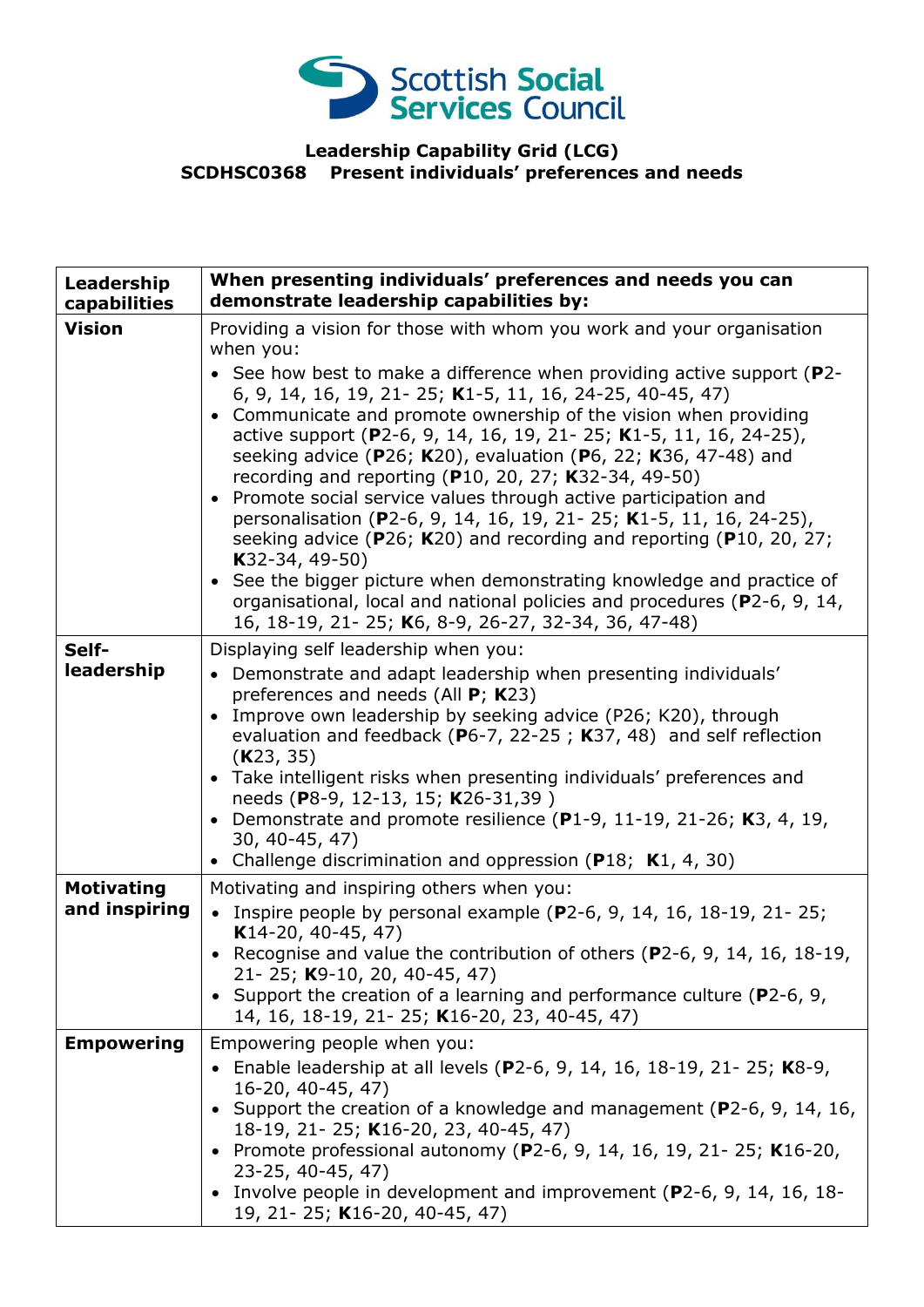

## **Leadership Capability Grid (LCG) SCDHSC0368 Present individuals' preferences and needs**

| Leadership<br>capabilities         | When presenting individuals' preferences and needs you can<br>demonstrate leadership capabilities by:                                                                                                                                                                                                                                                                                                                                                                                                                                                                                                                                                                                                                                                                                                                                                                                                                                                     |
|------------------------------------|-----------------------------------------------------------------------------------------------------------------------------------------------------------------------------------------------------------------------------------------------------------------------------------------------------------------------------------------------------------------------------------------------------------------------------------------------------------------------------------------------------------------------------------------------------------------------------------------------------------------------------------------------------------------------------------------------------------------------------------------------------------------------------------------------------------------------------------------------------------------------------------------------------------------------------------------------------------|
| <b>Vision</b>                      | Providing a vision for those with whom you work and your organisation<br>when you:<br>• See how best to make a difference when providing active support ( $P2$ -<br>6, 9, 14, 16, 19, 21 - 25; K1 - 5, 11, 16, 24 - 25, 40 - 45, 47)<br>• Communicate and promote ownership of the vision when providing<br>active support (P2-6, 9, 14, 16, 19, 21- 25; K1-5, 11, 16, 24-25),<br>seeking advice (P26; K20), evaluation (P6, 22; K36, 47-48) and<br>recording and reporting (P10, 20, 27; K32-34, 49-50)<br>Promote social service values through active participation and<br>personalisation (P2-6, 9, 14, 16, 19, 21- 25; K1-5, 11, 16, 24-25),<br>seeking advice (P26; K20) and recording and reporting (P10, 20, 27;<br>$K32-34, 49-50)$<br>• See the bigger picture when demonstrating knowledge and practice of<br>organisational, local and national policies and procedures (P2-6, 9, 14,<br>16, 18-19, 21- 25; K6, 8-9, 26-27, 32-34, 36, 47-48) |
| Self-<br>leadership                | Displaying self leadership when you:<br>• Demonstrate and adapt leadership when presenting individuals'<br>preferences and needs (All $P$ ; K23)<br>Improve own leadership by seeking advice (P26; K20), through<br>$\bullet$<br>evaluation and feedback ( $P6-7$ , 22-25; K37, 48) and self reflection<br>(K23, 35)<br>• Take intelligent risks when presenting individuals' preferences and<br>needs (P8-9, 12-13, 15; K26-31,39)<br>• Demonstrate and promote resilience (P1-9, 11-19, 21-26; K3, 4, 19,<br>30, 40-45, 47)<br>• Challenge discrimination and oppression (P18; K1, 4, 30)                                                                                                                                                                                                                                                                                                                                                               |
| <b>Motivating</b><br>and inspiring | Motivating and inspiring others when you:<br>• Inspire people by personal example ( $P$ 2-6, 9, 14, 16, 18-19, 21- 25;<br>$K14-20, 40-45, 47)$<br>• Recognise and value the contribution of others (P2-6, 9, 14, 16, 18-19,<br>21-25; K9-10, 20, 40-45, 47)<br>• Support the creation of a learning and performance culture ( $P2-6$ , 9,<br>14, 16, 18-19, 21- 25; K16-20, 23, 40-45, 47)                                                                                                                                                                                                                                                                                                                                                                                                                                                                                                                                                                |
| <b>Empowering</b>                  | Empowering people when you:<br>• Enable leadership at all levels (P2-6, 9, 14, 16, 18-19, 21- 25; K8-9,<br>16-20, 40-45, 47)<br>• Support the creation of a knowledge and management (P2-6, 9, 14, 16,<br>18-19, 21- 25; K16-20, 23, 40-45, 47)<br>• Promote professional autonomy (P2-6, 9, 14, 16, 19, 21- 25; K16-20,<br>23-25, 40-45, 47)<br>• Involve people in development and improvement ( $P$ 2-6, 9, 14, 16, 18-<br>19, 21 - 25; K16 - 20, 40 - 45, 47)                                                                                                                                                                                                                                                                                                                                                                                                                                                                                         |